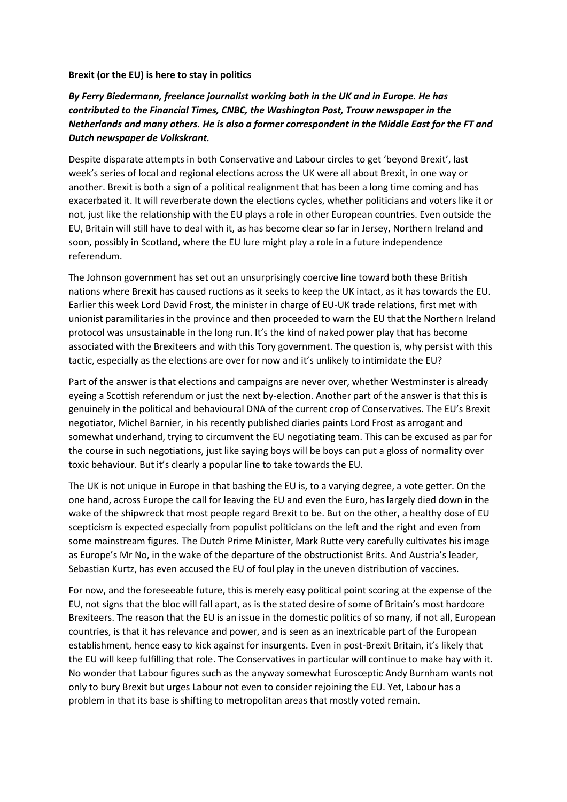## **Brexit (or the EU) is here to stay in politics**

## *By Ferry Biedermann, freelance journalist working both in the UK and in Europe. He has contributed to the Financial Times, CNBC, the Washington Post, Trouw newspaper in the Netherlands and many others. He is also a former correspondent in the Middle East for the FT and Dutch newspaper de Volkskrant.*

Despite disparate attempts in both Conservative and Labour circles to get 'beyond Brexit', last week's series of local and regional elections across the UK were all about Brexit, in one way or another. Brexit is both a sign of a political realignment that has been a long time coming and has exacerbated it. It will reverberate down the elections cycles, whether politicians and voters like it or not, just like the relationship with the EU plays a role in other European countries. Even outside the EU, Britain will still have to deal with it, as has become clear so far in Jersey, Northern Ireland and soon, possibly in Scotland, where the EU lure might play a role in a future independence referendum.

The Johnson government has set out an unsurprisingly coercive line toward both these British nations where Brexit has caused ructions as it seeks to keep the UK intact, as it has towards the EU. Earlier this week Lord David Frost, the minister in charge of EU-UK trade relations, first met with unionist paramilitaries in the province and then proceeded to warn the EU that the Northern Ireland protocol was unsustainable in the long run. It's the kind of naked power play that has become associated with the Brexiteers and with this Tory government. The question is, why persist with this tactic, especially as the elections are over for now and it's unlikely to intimidate the EU?

Part of the answer is that elections and campaigns are never over, whether Westminster is already eyeing a Scottish referendum or just the next by-election. Another part of the answer is that this is genuinely in the political and behavioural DNA of the current crop of Conservatives. The EU's Brexit negotiator, Michel Barnier, in his recently published diaries paints Lord Frost as arrogant and somewhat underhand, trying to circumvent the EU negotiating team. This can be excused as par for the course in such negotiations, just like saying boys will be boys can put a gloss of normality over toxic behaviour. But it's clearly a popular line to take towards the EU.

The UK is not unique in Europe in that bashing the EU is, to a varying degree, a vote getter. On the one hand, across Europe the call for leaving the EU and even the Euro, has largely died down in the wake of the shipwreck that most people regard Brexit to be. But on the other, a healthy dose of EU scepticism is expected especially from populist politicians on the left and the right and even from some mainstream figures. The Dutch Prime Minister, Mark Rutte very carefully cultivates his image as Europe's Mr No, in the wake of the departure of the obstructionist Brits. And Austria's leader, Sebastian Kurtz, has even accused the EU of foul play in the uneven distribution of vaccines.

For now, and the foreseeable future, this is merely easy political point scoring at the expense of the EU, not signs that the bloc will fall apart, as is the stated desire of some of Britain's most hardcore Brexiteers. The reason that the EU is an issue in the domestic politics of so many, if not all, European countries, is that it has relevance and power, and is seen as an inextricable part of the European establishment, hence easy to kick against for insurgents. Even in post-Brexit Britain, it's likely that the EU will keep fulfilling that role. The Conservatives in particular will continue to make hay with it. No wonder that Labour figures such as the anyway somewhat Eurosceptic Andy Burnham wants not only to bury Brexit but urges Labour not even to consider rejoining the EU. Yet, Labour has a problem in that its base is shifting to metropolitan areas that mostly voted remain.